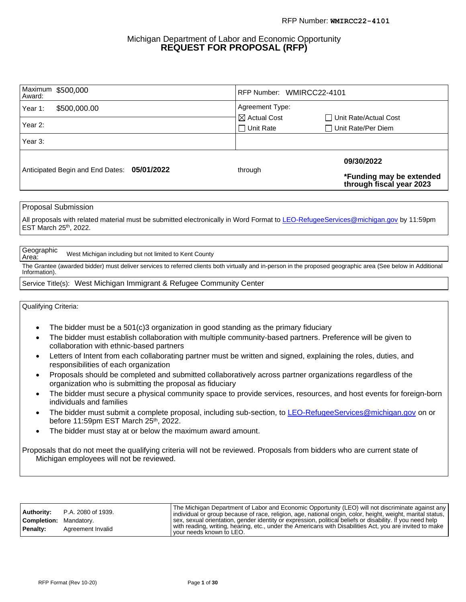#### Michigan Department of Labor and Economic Opportunity **REQUEST FOR PROPOSAL (RFP)**

| Award:  | Maximum \$500,000                           | RFP Number: WMIRCC22-4101 |                                                      |
|---------|---------------------------------------------|---------------------------|------------------------------------------------------|
| Year 1: | \$500,000.00                                | Agreement Type:           |                                                      |
|         |                                             | $\boxtimes$ Actual Cost   | Unit Rate/Actual Cost                                |
| Year 2: |                                             | $\Box$ Unit Rate          | $\Box$ Unit Rate/Per Diem                            |
| Year 3: |                                             |                           |                                                      |
|         |                                             |                           | 09/30/2022                                           |
|         | Anticipated Begin and End Dates: 05/01/2022 | through                   | *Funding may be extended<br>through fiscal year 2023 |

Proposal Submission

All proposals with related material must be submitted electronically in Word Format to [LEO-RefugeeServices@michigan.gov](mailto:LEO-RefugeeServices@michigan.gov) by 11:59pm EST March 25<sup>th</sup>, 2022.

Geographic<br>Area: West Michigan including but not limited to Kent County

The Grantee (awarded bidder) must deliver services to referred clients both virtually and in-person in the proposed geographic area (See below in Additional Information).

#### Service Title(s): West Michigan Immigrant & Refugee Community Center

#### Qualifying Criteria:

- The bidder must be a 501(c)3 organization in good standing as the primary fiduciary
- The bidder must establish collaboration with multiple community-based partners. Preference will be given to collaboration with ethnic-based partners
- Letters of Intent from each collaborating partner must be written and signed, explaining the roles, duties, and responsibilities of each organization
- Proposals should be completed and submitted collaboratively across partner organizations regardless of the organization who is submitting the proposal as fiduciary
- The bidder must secure a physical community space to provide services, resources, and host events for foreign-born individuals and families
- The bidder must submit a complete proposal, including sub-section, to [LEO-RefugeeServices@michigan.gov](mailto:LEO-RefugeeServices@michigan.gov) on or before 11:59pm EST March 25<sup>th</sup>, 2022.
- The bidder must stay at or below the maximum award amount.

Proposals that do not meet the qualifying criteria will not be reviewed. Proposals from bidders who are current state of Michigan employees will not be reviewed.

| Authority:<br><b>Completion:</b> Mandatory. | P.A. 2080 of 1939. | The Michigan Department of Labor and Economic Opportunity (LEO) will not discriminate against any<br>  individual or group because of race, religion, age, national origin, color, height, weight, marital status,  <br>sex, sexual orientation, gender identity or expression, political beliefs or disability. If you need help |
|---------------------------------------------|--------------------|-----------------------------------------------------------------------------------------------------------------------------------------------------------------------------------------------------------------------------------------------------------------------------------------------------------------------------------|
| Penalty:                                    | Agreement Invalid  | with reading, writing, hearing, etc., under the Americans with Disabilities Act, you are invited to make<br>your needs known to LEO.                                                                                                                                                                                              |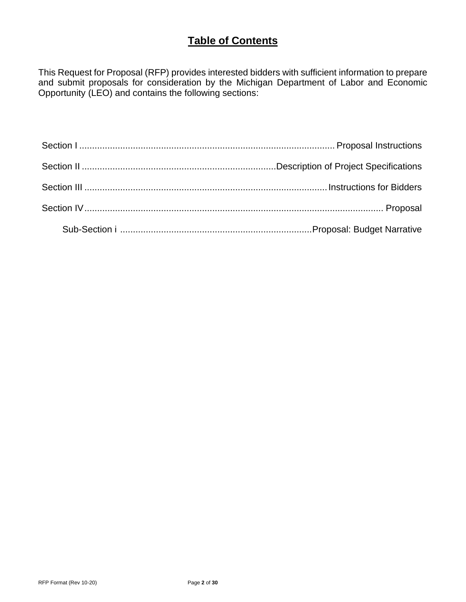## **Table of Contents**

This Request for Proposal (RFP) provides interested bidders with sufficient information to prepare and submit proposals for consideration by the Michigan Department of Labor and Economic Opportunity (LEO) and contains the following sections: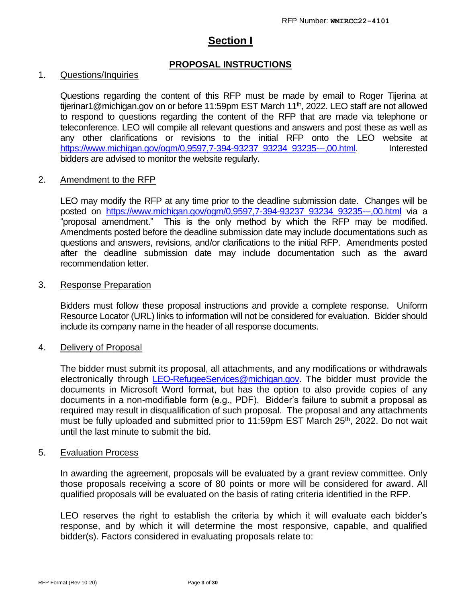## **Section I**

## **PROPOSAL INSTRUCTIONS**

#### 1. Questions/Inquiries

Questions regarding the content of this RFP must be made by email to Roger Tijerina at tijerinar1@michigan.gov on or before 11:59pm EST March 11<sup>th</sup>, 2022. LEO staff are not allowed to respond to questions regarding the content of the RFP that are made via telephone or teleconference. LEO will compile all relevant questions and answers and post these as well as any other clarifications or revisions to the initial RFP onto the LEO website at [https://www.michigan.gov/ogm/0,9597,7-394-93237\\_93234\\_93235---,00.html.](https://www.michigan.gov/ogm/0,9597,7-394-93237_93234_93235---,00.html) Interested bidders are advised to monitor the website regularly.

#### 2. Amendment to the RFP

LEO may modify the RFP at any time prior to the deadline submission date. Changes will be posted on [https://www.michigan.gov/ogm/0,9597,7-394-93237\\_93234\\_93235---,00.html](https://www.michigan.gov/ogm/0,9597,7-394-93237_93234_93235---,00.html) via a "proposal amendment." This is the only method by which the RFP may be modified. Amendments posted before the deadline submission date may include documentations such as questions and answers, revisions, and/or clarifications to the initial RFP. Amendments posted after the deadline submission date may include documentation such as the award recommendation letter.

#### 3. Response Preparation

Bidders must follow these proposal instructions and provide a complete response. Uniform Resource Locator (URL) links to information will not be considered for evaluation. Bidder should include its company name in the header of all response documents.

## 4. Delivery of Proposal

The bidder must submit its proposal, all attachments, and any modifications or withdrawals electronically through [LEO-RefugeeServices@michigan.gov.](mailto:LEO-RefugeeServices@michigan.gov) The bidder must provide the documents in Microsoft Word format, but has the option to also provide copies of any documents in a non-modifiable form (e.g., PDF). Bidder's failure to submit a proposal as required may result in disqualification of such proposal. The proposal and any attachments must be fully uploaded and submitted prior to 11:59pm EST March 25<sup>th</sup>, 2022. Do not wait until the last minute to submit the bid.

#### 5. Evaluation Process

In awarding the agreement, proposals will be evaluated by a grant review committee. Only those proposals receiving a score of 80 points or more will be considered for award. All qualified proposals will be evaluated on the basis of rating criteria identified in the RFP.

LEO reserves the right to establish the criteria by which it will evaluate each bidder's response, and by which it will determine the most responsive, capable, and qualified bidder(s). Factors considered in evaluating proposals relate to: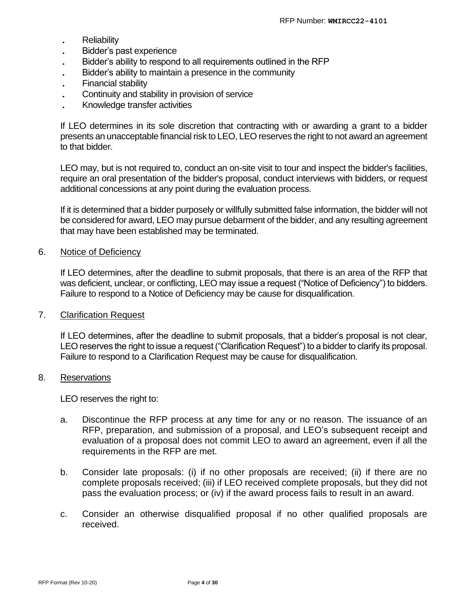- **.** Reliability
- **.** Bidder's past experience
- **.** Bidder's ability to respond to all requirements outlined in the RFP
- **.** Bidder's ability to maintain a presence in the community
- **.** Financial stability
- **.** Continuity and stability in provision of service
- **.** Knowledge transfer activities

If LEO determines in its sole discretion that contracting with or awarding a grant to a bidder presents an unacceptable financial risk to LEO, LEO reserves the right to not award an agreement to that bidder.

LEO may, but is not required to, conduct an on-site visit to tour and inspect the bidder's facilities, require an oral presentation of the bidder's proposal, conduct interviews with bidders, or request additional concessions at any point during the evaluation process.

If it is determined that a bidder purposely or willfully submitted false information, the bidder will not be considered for award, LEO may pursue debarment of the bidder, and any resulting agreement that may have been established may be terminated.

#### 6. Notice of Deficiency

If LEO determines, after the deadline to submit proposals, that there is an area of the RFP that was deficient, unclear, or conflicting, LEO may issue a request ("Notice of Deficiency") to bidders. Failure to respond to a Notice of Deficiency may be cause for disqualification.

## 7. Clarification Request

If LEO determines, after the deadline to submit proposals, that a bidder's proposal is not clear, LEO reserves the right to issue a request ("Clarification Request") to a bidder to clarify its proposal. Failure to respond to a Clarification Request may be cause for disqualification.

#### 8. Reservations

LEO reserves the right to:

- a. Discontinue the RFP process at any time for any or no reason. The issuance of an RFP, preparation, and submission of a proposal, and LEO's subsequent receipt and evaluation of a proposal does not commit LEO to award an agreement, even if all the requirements in the RFP are met.
- b. Consider late proposals: (i) if no other proposals are received; (ii) if there are no complete proposals received; (iii) if LEO received complete proposals, but they did not pass the evaluation process; or (iv) if the award process fails to result in an award.
- c. Consider an otherwise disqualified proposal if no other qualified proposals are received.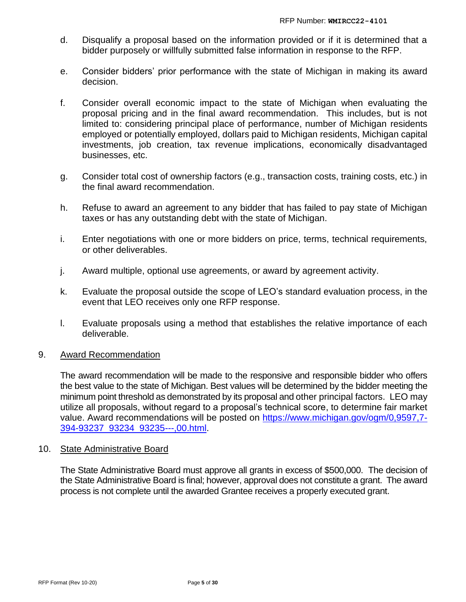- d. Disqualify a proposal based on the information provided or if it is determined that a bidder purposely or willfully submitted false information in response to the RFP.
- e. Consider bidders' prior performance with the state of Michigan in making its award decision.
- f. Consider overall economic impact to the state of Michigan when evaluating the proposal pricing and in the final award recommendation. This includes, but is not limited to: considering principal place of performance, number of Michigan residents employed or potentially employed, dollars paid to Michigan residents, Michigan capital investments, job creation, tax revenue implications, economically disadvantaged businesses, etc.
- g. Consider total cost of ownership factors (e.g., transaction costs, training costs, etc.) in the final award recommendation.
- h. Refuse to award an agreement to any bidder that has failed to pay state of Michigan taxes or has any outstanding debt with the state of Michigan.
- i. Enter negotiations with one or more bidders on price, terms, technical requirements, or other deliverables.
- j. Award multiple, optional use agreements, or award by agreement activity.
- k. Evaluate the proposal outside the scope of LEO's standard evaluation process, in the event that LEO receives only one RFP response.
- l. Evaluate proposals using a method that establishes the relative importance of each deliverable.

## 9. Award Recommendation

The award recommendation will be made to the responsive and responsible bidder who offers the best value to the state of Michigan. Best values will be determined by the bidder meeting the minimum point threshold as demonstrated by its proposal and other principal factors. LEO may utilize all proposals, without regard to a proposal's technical score, to determine fair market value. Award recommendations will be posted on [https://www.michigan.gov/ogm/0,9597,7-](https://www.michigan.gov/ogm/0,9597,7-394-93237_93234_93235---,00.html) [394-93237\\_93234\\_93235---,00.html.](https://www.michigan.gov/ogm/0,9597,7-394-93237_93234_93235---,00.html)

## 10. State Administrative Board

The State Administrative Board must approve all grants in excess of \$500,000. The decision of the State Administrative Board is final; however, approval does not constitute a grant. The award process is not complete until the awarded Grantee receives a properly executed grant.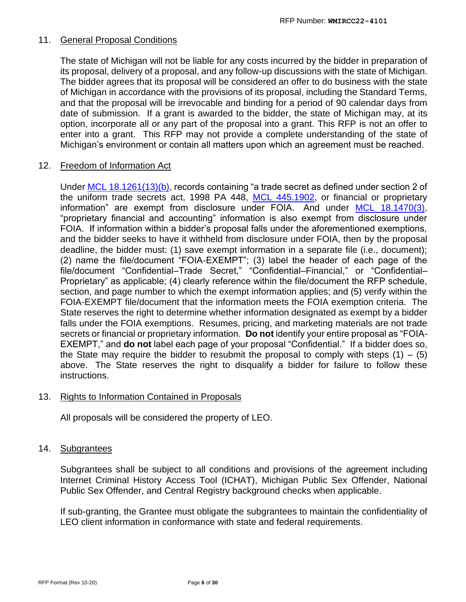## 11. General Proposal Conditions

The state of Michigan will not be liable for any costs incurred by the bidder in preparation of its proposal, delivery of a proposal, and any follow-up discussions with the state of Michigan. The bidder agrees that its proposal will be considered an offer to do business with the state of Michigan in accordance with the provisions of its proposal, including the Standard Terms, and that the proposal will be irrevocable and binding for a period of 90 calendar days from date of submission. If a grant is awarded to the bidder, the state of Michigan may, at its option, incorporate all or any part of the proposal into a grant. This RFP is not an offer to enter into a grant. This RFP may not provide a complete understanding of the state of Michigan's environment or contain all matters upon which an agreement must be reached.

## 12. Freedom of Information Act

Under [MCL 18.1261\(13\)\(b\),](http://www.legislature.mi.gov/(S(b2idoibk3wwdcrok5bm0s021))/mileg.aspx?page=getObject&objectName=mcl-18-1261) records containing "a trade secret as defined under section 2 of the uniform trade secrets act, 1998 PA 448, [MCL 445.1902,](http://www.legislature.mi.gov/(S(0maooowvs1ncgfpdbtafkvxy))/mileg.aspx?page=GetObject&objectname=mcl-445-1902) or financial or proprietary information" are exempt from disclosure under FOIA. And under [MCL 18.1470\(3\),](http://www.legislature.mi.gov/(S(ikxtgnlhgrao5zhaug3iprvj))/mileg.aspx?page=getObject&objectName=mcl-18-1470) "proprietary financial and accounting" information is also exempt from disclosure under FOIA. If information within a bidder's proposal falls under the aforementioned exemptions, and the bidder seeks to have it withheld from disclosure under FOIA, then by the proposal deadline, the bidder must: (1) save exempt information in a separate file (i.e., document); (2) name the file/document "FOIA-EXEMPT"; (3) label the header of each page of the file/document "Confidential–Trade Secret," "Confidential–Financial," or "Confidential– Proprietary" as applicable; (4) clearly reference within the file/document the RFP schedule, section, and page number to which the exempt information applies; and (5) verify within the FOIA-EXEMPT file/document that the information meets the FOIA exemption criteria. The State reserves the right to determine whether information designated as exempt by a bidder falls under the FOIA exemptions. Resumes, pricing, and marketing materials are not trade secrets or financial or proprietary information. **Do not** identify your entire proposal as "FOIA-EXEMPT," and **do not** label each page of your proposal "Confidential." If a bidder does so, the State may require the bidder to resubmit the proposal to comply with steps  $(1) - (5)$ above. The State reserves the right to disqualify a bidder for failure to follow these instructions.

## 13. Rights to Information Contained in Proposals

All proposals will be considered the property of LEO.

## 14. Subgrantees

Subgrantees shall be subject to all conditions and provisions of the agreement including Internet Criminal History Access Tool (ICHAT), Michigan Public Sex Offender, National Public Sex Offender, and Central Registry background checks when applicable.

If sub-granting, the Grantee must obligate the subgrantees to maintain the confidentiality of LEO client information in conformance with state and federal requirements.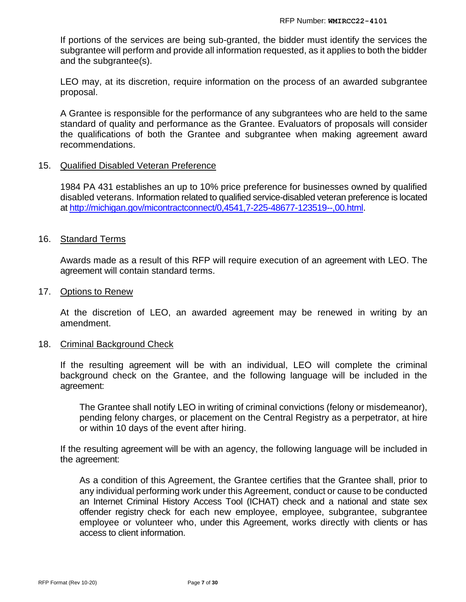If portions of the services are being sub-granted, the bidder must identify the services the subgrantee will perform and provide all information requested, as it applies to both the bidder and the subgrantee(s).

LEO may, at its discretion, require information on the process of an awarded subgrantee proposal.

A Grantee is responsible for the performance of any subgrantees who are held to the same standard of quality and performance as the Grantee. Evaluators of proposals will consider the qualifications of both the Grantee and subgrantee when making agreement award recommendations.

## 15. Qualified Disabled Veteran Preference

1984 PA 431 establishes an up to 10% price preference for businesses owned by qualified disabled veterans. Information related to qualified service-disabled veteran preference is located at [http://michigan.gov/micontractconnect/0,4541,7-225-48677-123519--,00.html.](http://michigan.gov/micontractconnect/0,4541,7-225-48677-123519--,00.html)

## 16. Standard Terms

Awards made as a result of this RFP will require execution of an agreement with LEO. The agreement will contain standard terms.

#### 17. Options to Renew

At the discretion of LEO, an awarded agreement may be renewed in writing by an amendment.

#### 18. Criminal Background Check

If the resulting agreement will be with an individual, LEO will complete the criminal background check on the Grantee, and the following language will be included in the agreement:

The Grantee shall notify LEO in writing of criminal convictions (felony or misdemeanor), pending felony charges, or placement on the Central Registry as a perpetrator, at hire or within 10 days of the event after hiring.

If the resulting agreement will be with an agency, the following language will be included in the agreement:

As a condition of this Agreement, the Grantee certifies that the Grantee shall, prior to any individual performing work under this Agreement, conduct or cause to be conducted an Internet Criminal History Access Tool (ICHAT) check and a national and state sex offender registry check for each new employee, employee, subgrantee, subgrantee employee or volunteer who, under this Agreement, works directly with clients or has access to client information.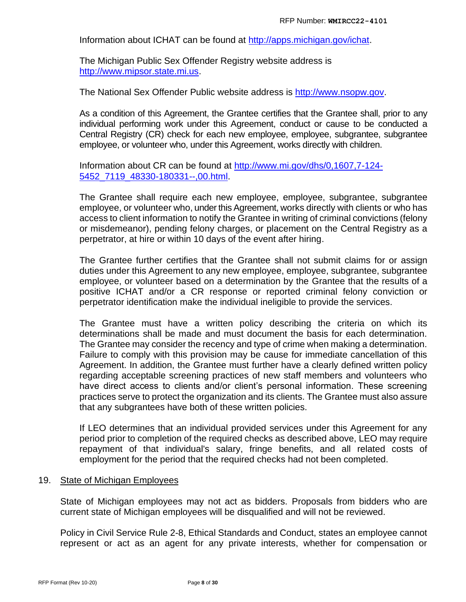Information about ICHAT can be found at [http://apps.michigan.gov/ichat.](http://apps.michigan.gov/ichat)

The Michigan Public Sex Offender Registry website address is [http://www.mipsor.state.mi.us.](http://www.mipsor.state.mi.us/)

The National Sex Offender Public website address is [http://www.nsopw.gov.](http://www.nsopw.gov/)

As a condition of this Agreement, the Grantee certifies that the Grantee shall, prior to any individual performing work under this Agreement, conduct or cause to be conducted a Central Registry (CR) check for each new employee, employee, subgrantee, subgrantee employee, or volunteer who, under this Agreement, works directly with children.

Information about CR can be found at [http://www.mi.gov/dhs/0,1607,7-124-](http://www.mi.gov/dhs/0,1607,7-124-5452_7119_48330-180331--,00.html) [5452\\_7119\\_48330-180331--,00.html.](http://www.mi.gov/dhs/0,1607,7-124-5452_7119_48330-180331--,00.html)

The Grantee shall require each new employee, employee, subgrantee, subgrantee employee, or volunteer who, under this Agreement, works directly with clients or who has access to client information to notify the Grantee in writing of criminal convictions (felony or misdemeanor), pending felony charges, or placement on the Central Registry as a perpetrator, at hire or within 10 days of the event after hiring.

The Grantee further certifies that the Grantee shall not submit claims for or assign duties under this Agreement to any new employee, employee, subgrantee, subgrantee employee, or volunteer based on a determination by the Grantee that the results of a positive ICHAT and/or a CR response or reported criminal felony conviction or perpetrator identification make the individual ineligible to provide the services.

The Grantee must have a written policy describing the criteria on which its determinations shall be made and must document the basis for each determination. The Grantee may consider the recency and type of crime when making a determination. Failure to comply with this provision may be cause for immediate cancellation of this Agreement. In addition, the Grantee must further have a clearly defined written policy regarding acceptable screening practices of new staff members and volunteers who have direct access to clients and/or client's personal information. These screening practices serve to protect the organization and its clients. The Grantee must also assure that any subgrantees have both of these written policies.

If LEO determines that an individual provided services under this Agreement for any period prior to completion of the required checks as described above, LEO may require repayment of that individual's salary, fringe benefits, and all related costs of employment for the period that the required checks had not been completed.

## 19. State of Michigan Employees

State of Michigan employees may not act as bidders. Proposals from bidders who are current state of Michigan employees will be disqualified and will not be reviewed.

Policy in Civil Service Rule 2-8, Ethical Standards and Conduct, states an employee cannot represent or act as an agent for any private interests, whether for compensation or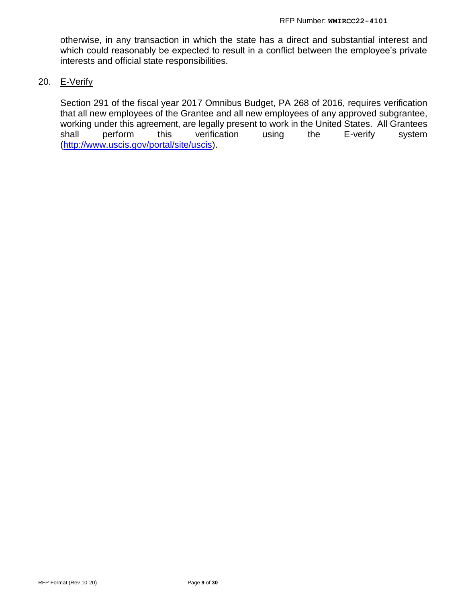otherwise, in any transaction in which the state has a direct and substantial interest and which could reasonably be expected to result in a conflict between the employee's private interests and official state responsibilities.

#### 20. E-Verify

Section 291 of the fiscal year 2017 Omnibus Budget, PA 268 of 2016, requires verification that all new employees of the Grantee and all new employees of any approved subgrantee, working under this agreement, are legally present to work in the United States. All Grantees shall perform this verification using the E-verify system [\(http://www.uscis.gov/portal/site/uscis\)](http://www.uscis.gov/portal/site/uscis).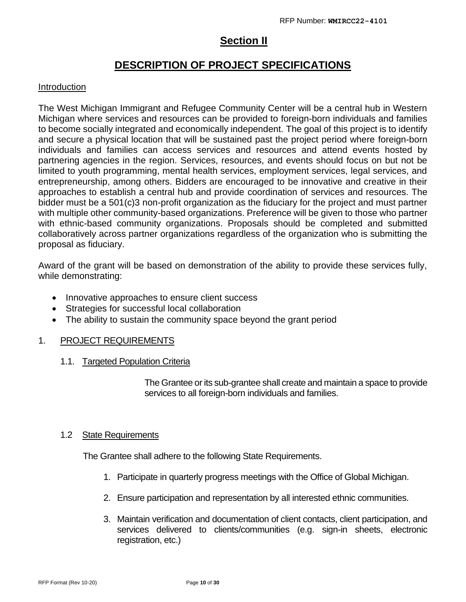## **Section II**

## **DESCRIPTION OF PROJECT SPECIFICATIONS**

## Introduction

The West Michigan Immigrant and Refugee Community Center will be a central hub in Western Michigan where services and resources can be provided to foreign-born individuals and families to become socially integrated and economically independent. The goal of this project is to identify and secure a physical location that will be sustained past the project period where foreign-born individuals and families can access services and resources and attend events hosted by partnering agencies in the region. Services, resources, and events should focus on but not be limited to youth programming, mental health services, employment services, legal services, and entrepreneurship, among others. Bidders are encouraged to be innovative and creative in their approaches to establish a central hub and provide coordination of services and resources. The bidder must be a 501(c)3 non-profit organization as the fiduciary for the project and must partner with multiple other community-based organizations. Preference will be given to those who partner with ethnic-based community organizations. Proposals should be completed and submitted collaboratively across partner organizations regardless of the organization who is submitting the proposal as fiduciary.

Award of the grant will be based on demonstration of the ability to provide these services fully, while demonstrating:

- Innovative approaches to ensure client success
- Strategies for successful local collaboration
- The ability to sustain the community space beyond the grant period

## 1. PROJECT REQUIREMENTS

1.1. Targeted Population Criteria

The Grantee or its sub-grantee shall create and maintain a space to provide services to all foreign-born individuals and families.

## 1.2 State Requirements

The Grantee shall adhere to the following State Requirements.

- 1. Participate in quarterly progress meetings with the Office of Global Michigan.
- 2. Ensure participation and representation by all interested ethnic communities.
- 3. Maintain verification and documentation of client contacts, client participation, and services delivered to clients/communities (e.g. sign-in sheets, electronic registration, etc.)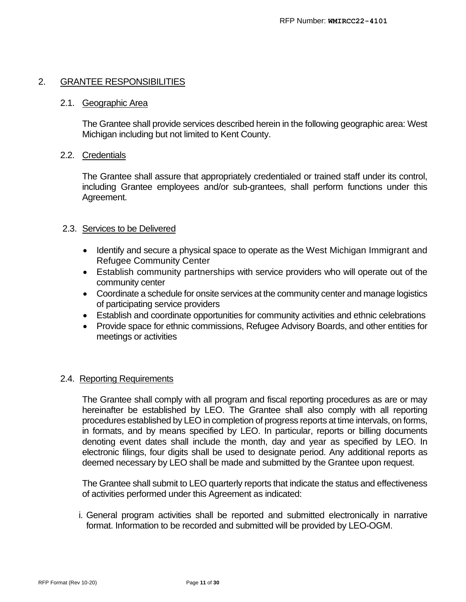## 2. GRANTEE RESPONSIBILITIES

#### 2.1. Geographic Area

The Grantee shall provide services described herein in the following geographic area: West Michigan including but not limited to Kent County.

## 2.2. Credentials

The Grantee shall assure that appropriately credentialed or trained staff under its control, including Grantee employees and/or sub-grantees, shall perform functions under this Agreement.

## 2.3. Services to be Delivered

- Identify and secure a physical space to operate as the West Michigan Immigrant and Refugee Community Center
- Establish community partnerships with service providers who will operate out of the community center
- Coordinate a schedule for onsite services at the community center and manage logistics of participating service providers
- Establish and coordinate opportunities for community activities and ethnic celebrations
- Provide space for ethnic commissions, Refugee Advisory Boards, and other entities for meetings or activities

## 2.4. Reporting Requirements

The Grantee shall comply with all program and fiscal reporting procedures as are or may hereinafter be established by LEO. The Grantee shall also comply with all reporting procedures established by LEO in completion of progress reports at time intervals, on forms, in formats, and by means specified by LEO. In particular, reports or billing documents denoting event dates shall include the month, day and year as specified by LEO. In electronic filings, four digits shall be used to designate period. Any additional reports as deemed necessary by LEO shall be made and submitted by the Grantee upon request.

The Grantee shall submit to LEO quarterly reports that indicate the status and effectiveness of activities performed under this Agreement as indicated:

i. General program activities shall be reported and submitted electronically in narrative format. Information to be recorded and submitted will be provided by LEO-OGM.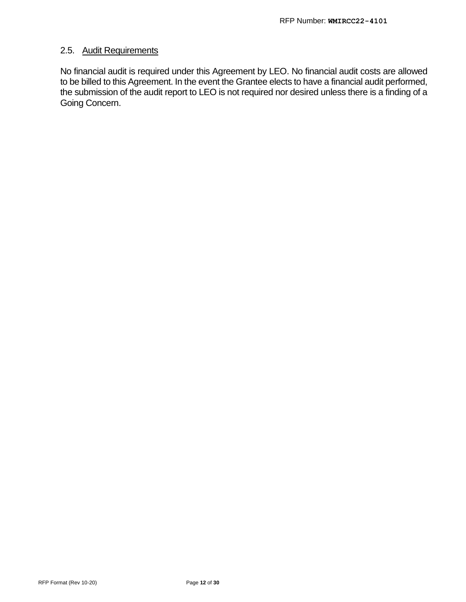## 2.5. Audit Requirements

No financial audit is required under this Agreement by LEO. No financial audit costs are allowed to be billed to this Agreement. In the event the Grantee elects to have a financial audit performed, the submission of the audit report to LEO is not required nor desired unless there is a finding of a Going Concern.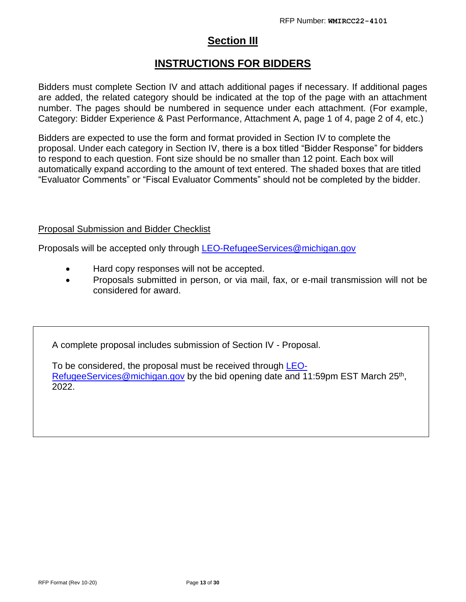## **Section III**

## **INSTRUCTIONS FOR BIDDERS**

Bidders must complete Section IV and attach additional pages if necessary. If additional pages are added, the related category should be indicated at the top of the page with an attachment number. The pages should be numbered in sequence under each attachment. (For example, Category: Bidder Experience & Past Performance, Attachment A, page 1 of 4, page 2 of 4, etc.)

Bidders are expected to use the form and format provided in Section IV to complete the proposal. Under each category in Section IV, there is a box titled "Bidder Response" for bidders to respond to each question. Font size should be no smaller than 12 point. Each box will automatically expand according to the amount of text entered. The shaded boxes that are titled "Evaluator Comments" or "Fiscal Evaluator Comments" should not be completed by the bidder.

## Proposal Submission and Bidder Checklist

Proposals will be accepted only through [LEO-RefugeeServices@michigan.gov](mailto:LEO-RefugeeServices@michigan.gov)

- Hard copy responses will not be accepted.
- Proposals submitted in person, or via mail, fax, or e-mail transmission will not be considered for award.

A complete proposal includes submission of Section IV - Proposal.

To be considered, the proposal must be received through [LEO-](mailto:LEO-RefugeeServices@michigan.gov)[RefugeeServices@michigan.gov](mailto:LEO-RefugeeServices@michigan.gov) by the bid opening date and 11:59pm EST March 25<sup>th</sup>, 2022.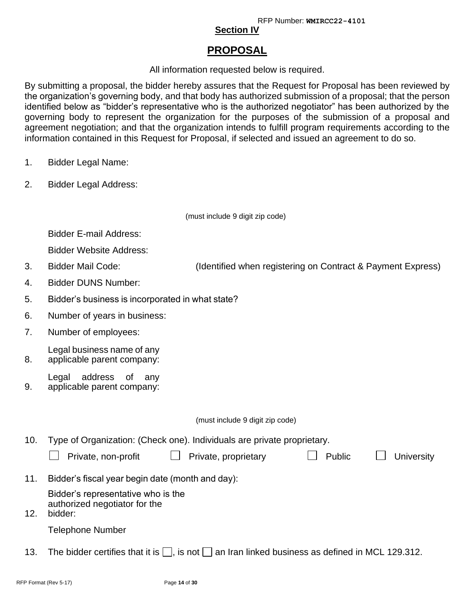## **Section IV**

## **PROPOSAL**

## All information requested below is required.

By submitting a proposal, the bidder hereby assures that the Request for Proposal has been reviewed by the organization's governing body, and that body has authorized submission of a proposal; that the person identified below as "bidder's representative who is the authorized negotiator" has been authorized by the governing body to represent the organization for the purposes of the submission of a proposal and agreement negotiation; and that the organization intends to fulfill program requirements according to the information contained in this Request for Proposal, if selected and issued an agreement to do so.

- 1. Bidder Legal Name:
- 2. Bidder Legal Address:

(must include 9 digit zip code)

Bidder E-mail Address:

Bidder Website Address:

- 3. Bidder Mail Code: (Identified when registering on Contract & Payment Express)
- 4. Bidder DUNS Number:
- 5. Bidder's business is incorporated in what state?
- 6. Number of years in business:
- 7. Number of employees:
- 8. Legal business name of any applicable parent company:
- 9. Legal address of any applicable parent company:

(must include 9 digit zip code)

10. Type of Organization: (Check one). Individuals are private proprietary.

|     | Private, non-profit<br>Private, proprietary                                    | Public | <b>University</b> |
|-----|--------------------------------------------------------------------------------|--------|-------------------|
| 11. | Bidder's fiscal year begin date (month and day):                               |        |                   |
| 12. | Bidder's representative who is the<br>authorized negotiator for the<br>bidder: |        |                   |

Telephone Number

13. The bidder certifies that it is  $\Box$ , is not  $\Box$  an Iran linked business as defined in MCL 129.312.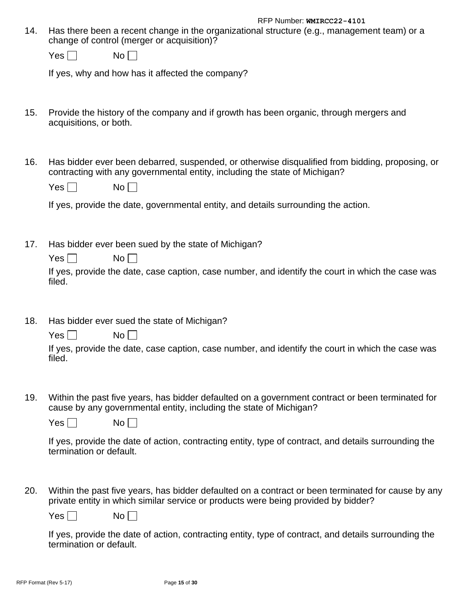14. Has there been a recent change in the organizational structure (e.g., management team) or a change of control (merger or acquisition)?

| Y   | N٥ |
|-----|----|
| es. |    |

If yes, why and how has it affected the company?

- 15. Provide the history of the company and if growth has been organic, through mergers and acquisitions, or both.
- 16. Has bidder ever been debarred, suspended, or otherwise disqualified from bidding, proposing, or contracting with any governmental entity, including the state of Michigan?

| Yes l | No |
|-------|----|
|-------|----|

If yes, provide the date, governmental entity, and details surrounding the action.

17. Has bidder ever been sued by the state of Michigan?

| Yes <sub>l</sub> | No L L |
|------------------|--------|
|------------------|--------|

If yes, provide the date, case caption, case number, and identify the court in which the case was filed.

18. Has bidder ever sued the state of Michigan?

| Yes | No <sub>1</sub><br>I |
|-----|----------------------|
|-----|----------------------|

If yes, provide the date, case caption, case number, and identify the court in which the case was filed.

19. Within the past five years, has bidder defaulted on a government contract or been terminated for cause by any governmental entity, including the state of Michigan?

| Y<br>No<br>'es |  |
|----------------|--|
|----------------|--|

If yes, provide the date of action, contracting entity, type of contract, and details surrounding the termination or default.

20. Within the past five years, has bidder defaulted on a contract or been terminated for cause by any private entity in which similar service or products were being provided by bidder?

Yes | No | |

If yes, provide the date of action, contracting entity, type of contract, and details surrounding the termination or default.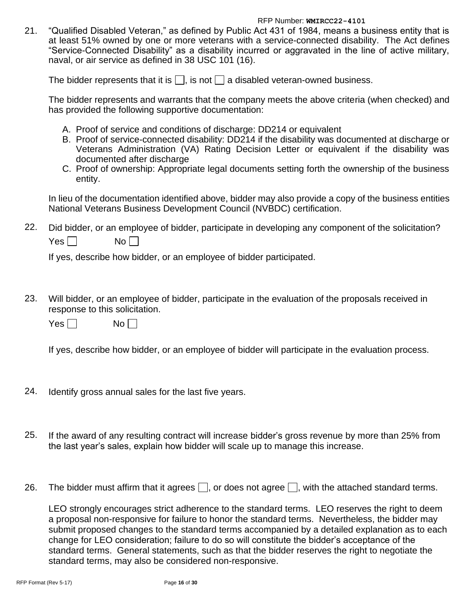21. "Qualified Disabled Veteran," as defined by Public Act 431 of 1984, means a business entity that is at least 51% owned by one or more veterans with a service-connected disability. The Act defines "Service-Connected Disability" as a disability incurred or aggravated in the line of active military, naval, or air service as defined in 38 USC 101 (16).

The bidder represents that it is  $\Box$ , is not  $\Box$  a disabled veteran-owned business.

The bidder represents and warrants that the company meets the above criteria (when checked) and has provided the following supportive documentation:

- A. Proof of service and conditions of discharge: DD214 or equivalent
- B. Proof of service-connected disability: DD214 if the disability was documented at discharge or Veterans Administration (VA) Rating Decision Letter or equivalent if the disability was documented after discharge
- C. Proof of ownership: Appropriate legal documents setting forth the ownership of the business entity.

In lieu of the documentation identified above, bidder may also provide a copy of the business entities National Veterans Business Development Council (NVBDC) certification.

22. Did bidder, or an employee of bidder, participate in developing any component of the solicitation? Yes No

If yes, describe how bidder, or an employee of bidder participated.

23. Will bidder, or an employee of bidder, participate in the evaluation of the proposals received in response to this solicitation.

 $Yes \Box$  No

If yes, describe how bidder, or an employee of bidder will participate in the evaluation process.

- 24. Identify gross annual sales for the last five years.
- 25. If the award of any resulting contract will increase bidder's gross revenue by more than 25% from the last year's sales, explain how bidder will scale up to manage this increase.
- 26. The bidder must affirm that it agrees  $\Box$ , or does not agree  $\Box$ , with the attached standard terms.

LEO strongly encourages strict adherence to the standard terms. LEO reserves the right to deem a proposal non-responsive for failure to honor the standard terms. Nevertheless, the bidder may submit proposed changes to the standard terms accompanied by a detailed explanation as to each change for LEO consideration; failure to do so will constitute the bidder's acceptance of the standard terms. General statements, such as that the bidder reserves the right to negotiate the standard terms, may also be considered non-responsive.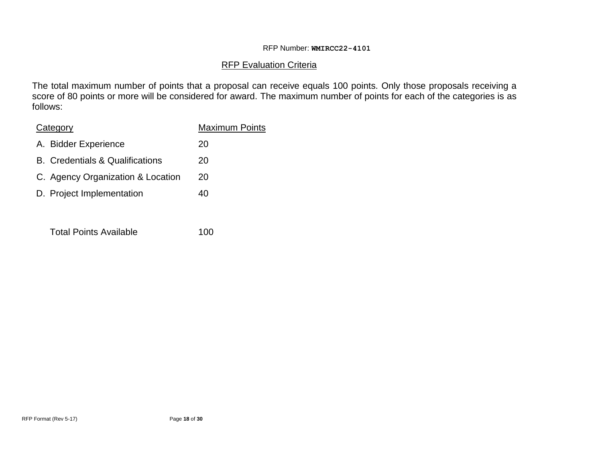## RFP Evaluation Criteria

The total maximum number of points that a proposal can receive equals 100 points. Only those proposals receiving a score of 80 points or more will be considered for award. The maximum number of points for each of the categories is as follows:

| Category                               | <b>Maximum Points</b> |
|----------------------------------------|-----------------------|
| A. Bidder Experience                   | 20                    |
| <b>B.</b> Credentials & Qualifications | 20                    |
| C. Agency Organization & Location      | 20                    |
| D. Project Implementation              | 40                    |
|                                        |                       |

Total Points Available 100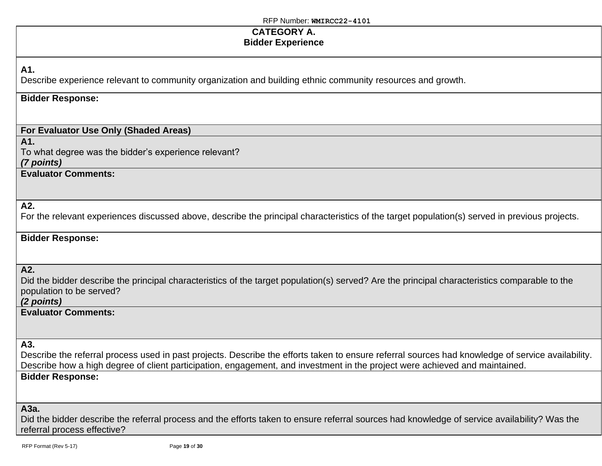## **CATEGORY A. Bidder Experience**

## **A1.**

Describe experience relevant to community organization and building ethnic community resources and growth.

## **Bidder Response:**

## **For Evaluator Use Only (Shaded Areas)**

**A1.**

To what degree was the bidder's experience relevant? *(7 points)*

**Evaluator Comments:**

## **A2.**

For the relevant experiences discussed above, describe the principal characteristics of the target population(s) served in previous projects.

## **Bidder Response:**

**A2.**

Did the bidder describe the principal characteristics of the target population(s) served? Are the principal characteristics comparable to the population to be served?

## *(2 points)*

**Evaluator Comments:**

**A3.**

Describe the referral process used in past projects. Describe the efforts taken to ensure referral sources had knowledge of service availability. Describe how a high degree of client participation, engagement, and investment in the project were achieved and maintained. **Bidder Response:**

#### **A3a.**

Did the bidder describe the referral process and the efforts taken to ensure referral sources had knowledge of service availability? Was the referral process effective?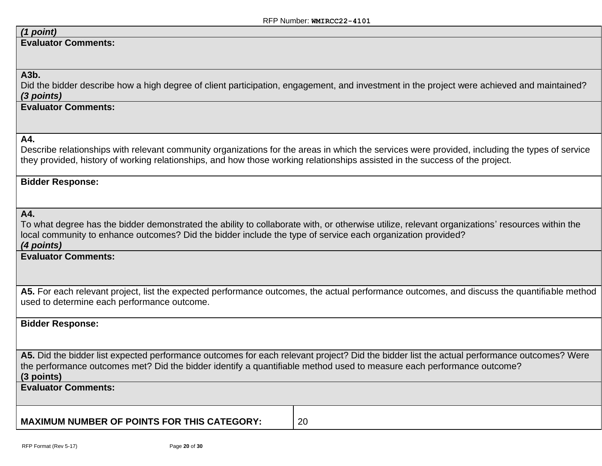## *(1 point)*

**Evaluator Comments:**

#### **A3b.**

Did the bidder describe how a high degree of client participation, engagement, and investment in the project were achieved and maintained? *(3 points)*

## **Evaluator Comments:**

#### **A4.**

Describe relationships with relevant community organizations for the areas in which the services were provided, including the types of service they provided, history of working relationships, and how those working relationships assisted in the success of the project.

#### **Bidder Response:**

#### **A4.**

To what degree has the bidder demonstrated the ability to collaborate with, or otherwise utilize, relevant organizations' resources within the local community to enhance outcomes? Did the bidder include the type of service each organization provided? *(4 points)*

#### **Evaluator Comments:**

**A5.** For each relevant project, list the expected performance outcomes, the actual performance outcomes, and discuss the quantifiable method used to determine each performance outcome.

#### **Bidder Response:**

**A5.** Did the bidder list expected performance outcomes for each relevant project? Did the bidder list the actual performance outcomes? Were the performance outcomes met? Did the bidder identify a quantifiable method used to measure each performance outcome? **(3 points)**

**Evaluator Comments:**

**MAXIMUM NUMBER OF POINTS FOR THIS CATEGORY:** 20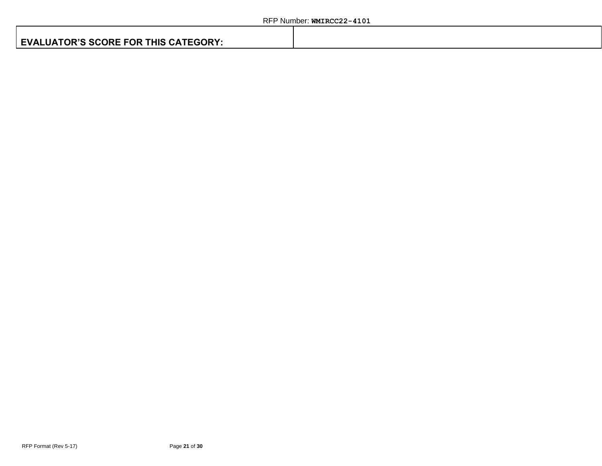|  |  | <b>EVALUATOR'S SCORE FOR THIS CATEGORY:</b> |  |
|--|--|---------------------------------------------|--|
|--|--|---------------------------------------------|--|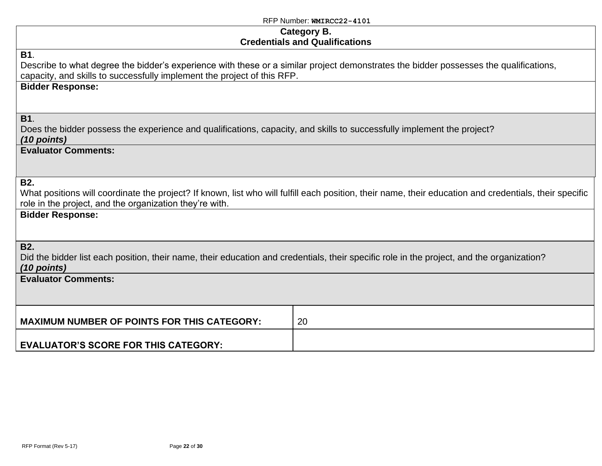## **Category B. Credentials and Qualifications**

| <b>Credentials and Qualifications</b>                                                                                                                                                                                          |                                                                                                                                                        |  |
|--------------------------------------------------------------------------------------------------------------------------------------------------------------------------------------------------------------------------------|--------------------------------------------------------------------------------------------------------------------------------------------------------|--|
| <b>B1.</b><br>Describe to what degree the bidder's experience with these or a similar project demonstrates the bidder possesses the qualifications,<br>capacity, and skills to successfully implement the project of this RFP. |                                                                                                                                                        |  |
| <b>Bidder Response:</b>                                                                                                                                                                                                        |                                                                                                                                                        |  |
| <b>B1.</b><br>Does the bidder possess the experience and qualifications, capacity, and skills to successfully implement the project?<br>$(10$ points)                                                                          |                                                                                                                                                        |  |
| <b>Evaluator Comments:</b>                                                                                                                                                                                                     |                                                                                                                                                        |  |
| <b>B2.</b><br>role in the project, and the organization they're with.                                                                                                                                                          | What positions will coordinate the project? If known, list who will fulfill each position, their name, their education and credentials, their specific |  |
| <b>Bidder Response:</b>                                                                                                                                                                                                        |                                                                                                                                                        |  |
| <b>B2.</b><br>Did the bidder list each position, their name, their education and credentials, their specific role in the project, and the organization?<br>$(10$ points)                                                       |                                                                                                                                                        |  |
| <b>Evaluator Comments:</b>                                                                                                                                                                                                     |                                                                                                                                                        |  |
| <b>MAXIMUM NUMBER OF POINTS FOR THIS CATEGORY:</b>                                                                                                                                                                             | 20                                                                                                                                                     |  |
| <b>EVALUATOR'S SCORE FOR THIS CATEGORY:</b>                                                                                                                                                                                    |                                                                                                                                                        |  |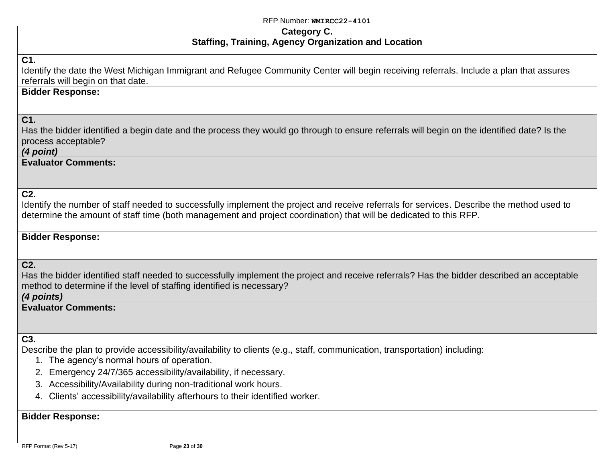#### **Category C. Staffing, Training, Agency Organization and Location**

## **C1.**

Identify the date the West Michigan Immigrant and Refugee Community Center will begin receiving referrals. Include a plan that assures referrals will begin on that date.

## **Bidder Response:**

## **C1.**

Has the bidder identified a begin date and the process they would go through to ensure referrals will begin on the identified date? Is the process acceptable?

#### *(4 point)*

**Evaluator Comments:**

## **C2.**

Identify the number of staff needed to successfully implement the project and receive referrals for services. Describe the method used to determine the amount of staff time (both management and project coordination) that will be dedicated to this RFP.

## **Bidder Response:**

#### **C2.**

Has the bidder identified staff needed to successfully implement the project and receive referrals? Has the bidder described an acceptable method to determine if the level of staffing identified is necessary?

*(4 points)*

## **Evaluator Comments:**

## **C3.**

Describe the plan to provide accessibility/availability to clients (e.g., staff, communication, transportation) including:

- 1. The agency's normal hours of operation.
- 2. Emergency 24/7/365 accessibility/availability, if necessary.
- 3. Accessibility/Availability during non-traditional work hours.
- 4. Clients' accessibility/availability afterhours to their identified worker.

## **Bidder Response:**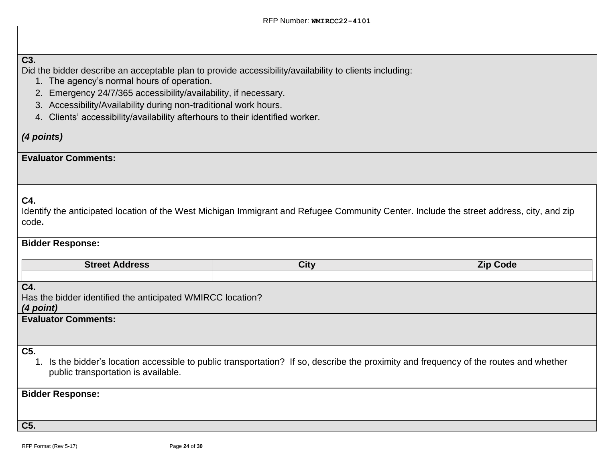## **C3.**

Did the bidder describe an acceptable plan to provide accessibility/availability to clients including:

- 1. The agency's normal hours of operation.
- 2. Emergency 24/7/365 accessibility/availability, if necessary.
- 3. Accessibility/Availability during non-traditional work hours.
- 4. Clients' accessibility/availability afterhours to their identified worker.

## *(4 points)*

## **Evaluator Comments:**

## **C4.**

Identify the anticipated location of the West Michigan Immigrant and Refugee Community Center. Include the street address, city, and zip code**.**

## **Bidder Response:**

| Street<br>.<br>Auuress | <b>City</b> | Zip.<br>νοαε |
|------------------------|-------------|--------------|
|                        |             |              |

## **C4.**

Has the bidder identified the anticipated WMIRCC location?

#### *(4 point)*

**Evaluator Comments:**

## **C5.**

1. Is the bidder's location accessible to public transportation? If so, describe the proximity and frequency of the routes and whether public transportation is available.

## **Bidder Response:**

**C5.**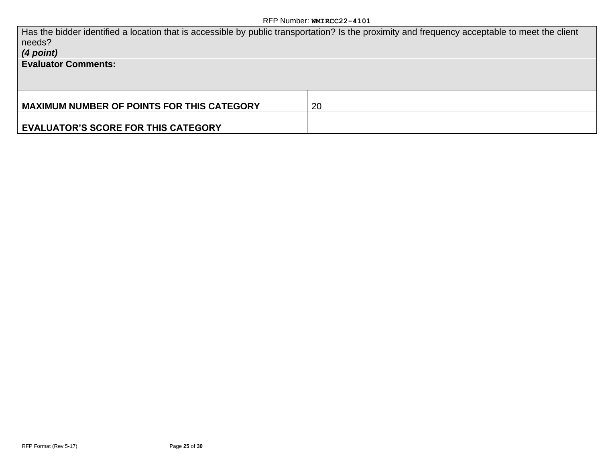| Has the bidder identified a location that is accessible by public transportation? Is the proximity and frequency acceptable to meet the client<br>needs?<br>(4 point) |    |
|-----------------------------------------------------------------------------------------------------------------------------------------------------------------------|----|
| <b>Evaluator Comments:</b>                                                                                                                                            |    |
|                                                                                                                                                                       |    |
| <b>MAXIMUM NUMBER OF POINTS FOR THIS CATEGORY</b>                                                                                                                     | 20 |
|                                                                                                                                                                       |    |
| <b>EVALUATOR'S SCORE FOR THIS CATEGORY</b>                                                                                                                            |    |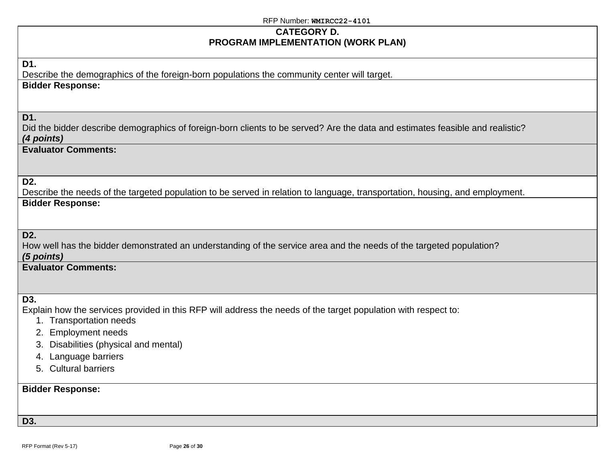## **CATEGORY D. PROGRAM IMPLEMENTATION (WORK PLAN)**

## **D1.**

Describe the demographics of the foreign-born populations the community center will target. **Bidder Response:**

## **D1.**

Did the bidder describe demographics of foreign-born clients to be served? Are the data and estimates feasible and realistic? *(4 points)*

## **Evaluator Comments:**

#### **D2.**

Describe the needs of the targeted population to be served in relation to language, transportation, housing, and employment. **Bidder Response:**

## **D2.**

How well has the bidder demonstrated an understanding of the service area and the needs of the targeted population? *(5 points)*

## **Evaluator Comments:**

## **D3.**

Explain how the services provided in this RFP will address the needs of the target population with respect to:

- 1. Transportation needs
- 2. Employment needs
- 3. Disabilities (physical and mental)
- 4. Language barriers
- 5. Cultural barriers

## **Bidder Response:**

#### **D3.**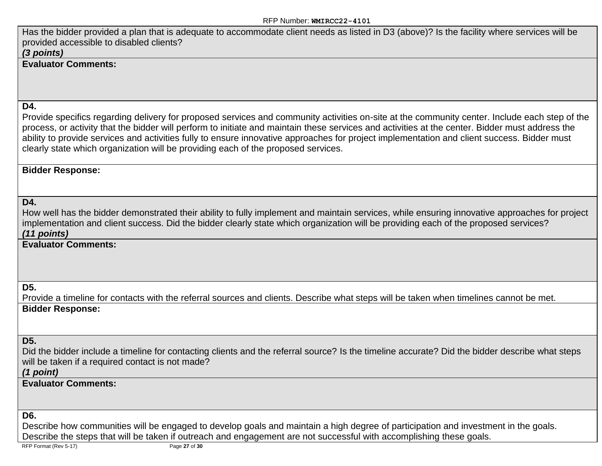Has the bidder provided a plan that is adequate to accommodate client needs as listed in D3 (above)? Is the facility where services will be provided accessible to disabled clients?

## *(3 points)*

## **Evaluator Comments:**

## **D4.**

Provide specifics regarding delivery for proposed services and community activities on-site at the community center. Include each step of the process, or activity that the bidder will perform to initiate and maintain these services and activities at the center. Bidder must address the ability to provide services and activities fully to ensure innovative approaches for project implementation and client success. Bidder must clearly state which organization will be providing each of the proposed services.

## **Bidder Response:**

## **D4.**

How well has the bidder demonstrated their ability to fully implement and maintain services, while ensuring innovative approaches for project implementation and client success. Did the bidder clearly state which organization will be providing each of the proposed services? *(11 points)*

**Evaluator Comments:**

**D5.**

Provide a timeline for contacts with the referral sources and clients. Describe what steps will be taken when timelines cannot be met. **Bidder Response:**

## **D5.**

Did the bidder include a timeline for contacting clients and the referral source? Is the timeline accurate? Did the bidder describe what steps will be taken if a required contact is not made?

*(1 point)*

## **Evaluator Comments:**

#### **D6.**

Describe how communities will be engaged to develop goals and maintain a high degree of participation and investment in the goals. Describe the steps that will be taken if outreach and engagement are not successful with accomplishing these goals.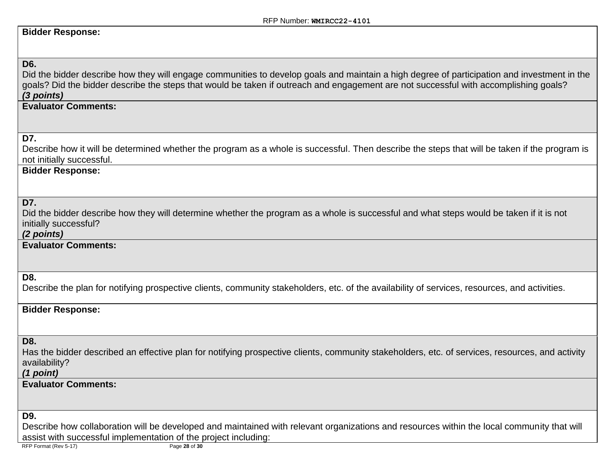## **Bidder Response:**

# **D6.** Did the bidder describe how they will engage communities to develop goals and maintain a high degree of participation and investment in the goals? Did the bidder describe the steps that would be taken if outreach and engagement are not successful with accomplishing goals? *(3 points)* **Evaluator Comments: D7.** Describe how it will be determined whether the program as a whole is successful. Then describe the steps that will be taken if the program is not initially successful. **Bidder Response: D7.** Did the bidder describe how they will determine whether the program as a whole is successful and what steps would be taken if it is not initially successful? *(2 points)* **Evaluator Comments: D8.** Describe the plan for notifying prospective clients, community stakeholders, etc. of the availability of services, resources, and activities. **Bidder Response: D8.** Has the bidder described an effective plan for notifying prospective clients, community stakeholders, etc. of services, resources, and activity availability? *(1 point)* **Evaluator Comments: D9.** Describe how collaboration will be developed and maintained with relevant organizations and resources within the local community that will assist with successful implementation of the project including:

RFP Format (Rev 5-17) Page **28** of **30**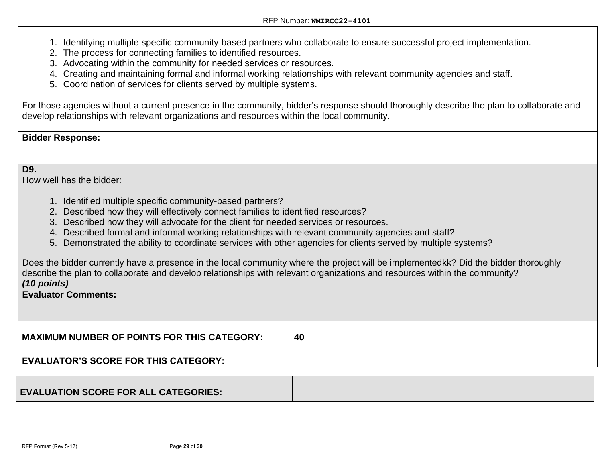- 1. Identifying multiple specific community-based partners who collaborate to ensure successful project implementation.
- 2. The process for connecting families to identified resources.
- 3. Advocating within the community for needed services or resources.
- 4. Creating and maintaining formal and informal working relationships with relevant community agencies and staff.
- 5. Coordination of services for clients served by multiple systems.

For those agencies without a current presence in the community, bidder's response should thoroughly describe the plan to collaborate and develop relationships with relevant organizations and resources within the local community.

## **Bidder Response:**

**D9.**

How well has the bidder:

- 1. Identified multiple specific community-based partners?
- 2. Described how they will effectively connect families to identified resources?
- 3. Described how they will advocate for the client for needed services or resources.
- 4. Described formal and informal working relationships with relevant community agencies and staff?
- 5. Demonstrated the ability to coordinate services with other agencies for clients served by multiple systems?

Does the bidder currently have a presence in the local community where the project will be implementedkk? Did the bidder thoroughly describe the plan to collaborate and develop relationships with relevant organizations and resources within the community? *(10 points)*

#### **Evaluator Comments:**

| MAXIMUM NUMBER OF POINTS FOR THIS CATEGORY: | 40 |
|---------------------------------------------|----|
| EVALUATOR'S SCORE FOR THIS CATEGORY:        |    |
|                                             |    |

| <b>EVALUATION SCORE FOR ALL CATEGORIES:</b> |  |
|---------------------------------------------|--|
|---------------------------------------------|--|